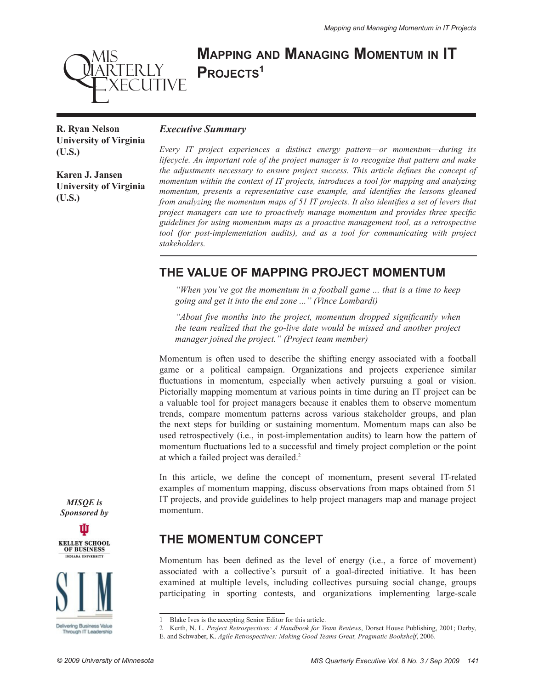# **Mapping and Managing Momentum in IT** PROJECTS<sup>1</sup>

**R. Ryan Nelson University of Virginia (U.S.)**

MIS<br>QIARTERLY

**EXECUTIVE** 

**Karen J. Jansen University of Virginia** 

**(U.S.)**

#### *Executive Summary*

*Every IT project experiences a distinct energy pattern—or momentum—during its lifecycle. An important role of the project manager is to recognize that pattern and make the adjustments necessary to ensure project success. This article defines the concept of momentum within the context of IT projects, introduces a tool for mapping and analyzing momentum, presents a representative case example, and identifies the lessons gleaned from analyzing the momentum maps of 51 IT projects. It also identifies a set of levers that project managers can use to proactively manage momentum and provides three specific guidelines for using momentum maps as a proactive management tool, as a retrospective tool (for post-implementation audits), and as a tool for communicating with project stakeholders.*

### **THE VALUE OF MAPPING PROJECT MOMENTUM**

*"When you've got the momentum in a football game ... that is a time to keep going and get it into the end zone ..." (Vince Lombardi)*

*"About five months into the project, momentum dropped significantly when the team realized that the go-live date would be missed and another project manager joined the project." (Project team member)*

Momentum is often used to describe the shifting energy associated with a football game or a political campaign. Organizations and projects experience similar fluctuations in momentum, especially when actively pursuing a goal or vision. Pictorially mapping momentum at various points in time during an IT project can be a valuable tool for project managers because it enables them to observe momentum trends, compare momentum patterns across various stakeholder groups, and plan the next steps for building or sustaining momentum. Momentum maps can also be used retrospectively (i.e., in post-implementation audits) to learn how the pattern of momentum fluctuations led to a successful and timely project completion or the point at which a failed project was derailed.2

In this article, we define the concept of momentum, present several IT-related examples of momentum mapping, discuss observations from maps obtained from 51 IT projects, and provide guidelines to help project managers map and manage project momentum.

### **THE MOMENTUM CONCEPT**

Momentum has been defined as the level of energy (i.e., a force of movement) associated with a collective's pursuit of a goal-directed initiative. It has been examined at multiple levels, including collectives pursuing social change, groups participating in sporting contests, and organizations implementing large-scale

*MISQE is Sponsored by*





Blake Ives is the accepting Senior Editor for this article.

<sup>2</sup> Kerth, N. L. *Project Retrospectives: A Handbook for Team Reviews*, Dorset House Publishing, 2001; Derby,

E. and Schwaber, K. *Agile Retrospectives: Making Good Teams Great, Pragmatic Bookshelf*, 2006.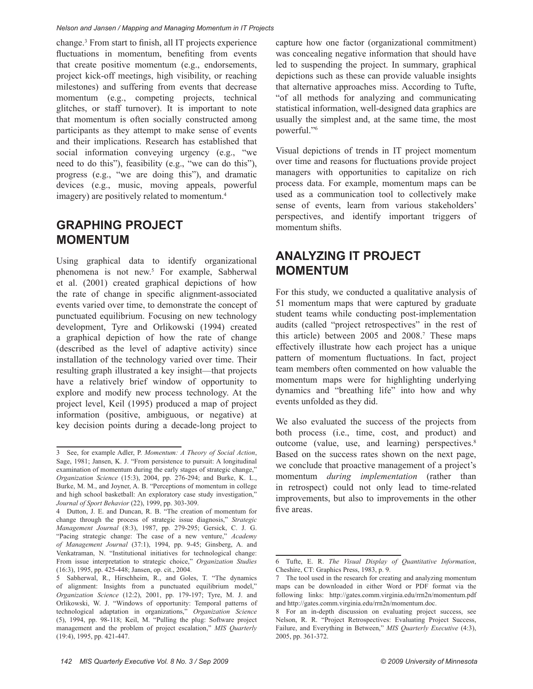change.3 From start to finish, all IT projects experience fluctuations in momentum, benefiting from events that create positive momentum (e.g., endorsements, project kick-off meetings, high visibility, or reaching milestones) and suffering from events that decrease momentum (e.g., competing projects, technical glitches, or staff turnover). It is important to note that momentum is often socially constructed among participants as they attempt to make sense of events and their implications. Research has established that social information conveying urgency (e.g., "we need to do this"), feasibility (e.g., "we can do this"), progress (e.g., "we are doing this"), and dramatic devices (e.g., music, moving appeals, powerful imagery) are positively related to momentum.<sup>4</sup>

### **GRAPHING PROJECT MOMENTUM**

Using graphical data to identify organizational phenomena is not new.<sup>5</sup> For example, Sabherwal et al. (2001) created graphical depictions of how the rate of change in specific alignment-associated events varied over time, to demonstrate the concept of punctuated equilibrium. Focusing on new technology development, Tyre and Orlikowski (1994) created a graphical depiction of how the rate of change (described as the level of adaptive activity) since installation of the technology varied over time. Their resulting graph illustrated a key insight—that projects have a relatively brief window of opportunity to explore and modify new process technology. At the project level, Keil (1995) produced a map of project information (positive, ambiguous, or negative) at key decision points during a decade-long project to capture how one factor (organizational commitment) was concealing negative information that should have led to suspending the project. In summary, graphical depictions such as these can provide valuable insights that alternative approaches miss. According to Tufte, "of all methods for analyzing and communicating statistical information, well-designed data graphics are usually the simplest and, at the same time, the most powerful."<sup>6</sup>

Visual depictions of trends in IT project momentum over time and reasons for fluctuations provide project managers with opportunities to capitalize on rich process data. For example, momentum maps can be used as a communication tool to collectively make sense of events, learn from various stakeholders' perspectives, and identify important triggers of momentum shifts.

# **ANALYZING IT PROJECT MOMENTUM**

For this study, we conducted a qualitative analysis of 51 momentum maps that were captured by graduate student teams while conducting post-implementation audits (called "project retrospectives" in the rest of this article) between  $2005$  and  $2008$ .<sup>7</sup> These maps effectively illustrate how each project has a unique pattern of momentum fluctuations. In fact, project team members often commented on how valuable the momentum maps were for highlighting underlying dynamics and "breathing life" into how and why events unfolded as they did.

We also evaluated the success of the projects from both process (i.e., time, cost, and product) and outcome (value, use, and learning) perspectives.8 Based on the success rates shown on the next page, we conclude that proactive management of a project's momentum *during implementation* (rather than in retrospect) could not only lead to time-related improvements, but also to improvements in the other five areas.

<sup>3</sup> See, for example Adler, P. *Momentum: A Theory of Social Action*, Sage, 1981; Jansen, K. J. "From persistence to pursuit: A longitudinal examination of momentum during the early stages of strategic change," *Organization Science* (15:3), 2004, pp. 276-294; and Burke, K. L., Burke, M. M., and Joyner, A. B. "Perceptions of momentum in college and high school basketball: An exploratory case study investigation," *Journal of Sport Behavior* (22), 1999, pp. 303-309.

<sup>4</sup> Dutton, J. E. and Duncan, R. B. "The creation of momentum for change through the process of strategic issue diagnosis," *Strategic Management Journal* (8:3), 1987, pp. 279-295; Gersick, C. J. G. "Pacing strategic change: The case of a new venture," *Academy of Management Journal* (37:1), 1994, pp. 9-45; Ginsberg, A. and Venkatraman, N. "Institutional initiatives for technological change: From issue interpretation to strategic choice," *Organization Studies*  (16:3), 1995, pp. 425-448; Jansen, op. cit., 2004.

<sup>5</sup> Sabherwal, R., Hirschheim, R., and Goles, T. "The dynamics of alignment: Insights from a punctuated equilibrium model," *Organization Science* (12:2), 2001, pp. 179-197; Tyre, M. J. and Orlikowski, W. J. "Windows of opportunity: Temporal patterns of technological adaptation in organizations," *Organization Science*  (5), 1994, pp. 98-118; Keil, M. "Pulling the plug: Software project management and the problem of project escalation," *MIS Quarterly*  (19:4), 1995, pp. 421-447.

<sup>6</sup> Tufte, E. R. *The Visual Display of Quantitative Information*, Cheshire, CT: Graphics Press, 1983, p. 9.

<sup>7</sup> The tool used in the research for creating and analyzing momentum maps can be downloaded in either Word or PDF format via the following links: http://gates.comm.virginia.edu/rrn2n/momentum.pdf and http://gates.comm.virginia.edu/rrn2n/momentum.doc.

<sup>8</sup> For an in-depth discussion on evaluating project success, see Nelson, R. R. "Project Retrospectives: Evaluating Project Success, Failure, and Everything in Between," *MIS Quarterly Executive* (4:3), 2005, pp. 361-372.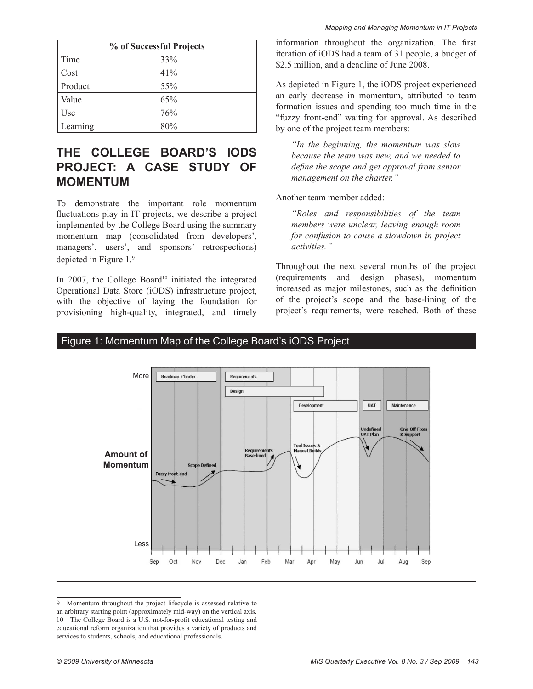| % of Successful Projects |     |  |
|--------------------------|-----|--|
| Time                     | 33% |  |
| Cost                     | 41% |  |
| Product                  | 55% |  |
| Value                    | 65% |  |
| Use                      | 76% |  |
| Learning                 | 80% |  |

# **THE COLLEGE BOARD'S IODS PROJECT: A CASE STUDY OF MOMENTUM**

To demonstrate the important role momentum fluctuations play in IT projects, we describe a project implemented by the College Board using the summary momentum map (consolidated from developers', managers', users', and sponsors' retrospections) depicted in Figure 1.9

In 2007, the College Board<sup>10</sup> initiated the integrated Operational Data Store (iODS) infrastructure project, with the objective of laying the foundation for provisioning high-quality, integrated, and timely

information throughout the organization. The first iteration of iODS had a team of 31 people, a budget of \$2.5 million, and a deadline of June 2008.

As depicted in Figure 1, the iODS project experienced an early decrease in momentum, attributed to team formation issues and spending too much time in the "fuzzy front-end" waiting for approval. As described by one of the project team members:

*"In the beginning, the momentum was slow because the team was new, and we needed to define the scope and get approval from senior management on the charter."*

Another team member added:

*"Roles and responsibilities of the team members were unclear, leaving enough room for confusion to cause a slowdown in project activities."* 

Throughout the next several months of the project (requirements and design phases), momentum increased as major milestones, such as the definition of the project's scope and the base-lining of the project's requirements, were reached. Both of these



<sup>9</sup> Momentum throughout the project lifecycle is assessed relative to an arbitrary starting point (approximately mid-way) on the vertical axis. 10 The College Board is a U.S. not-for-profit educational testing and educational reform organization that provides a variety of products and services to students, schools, and educational professionals.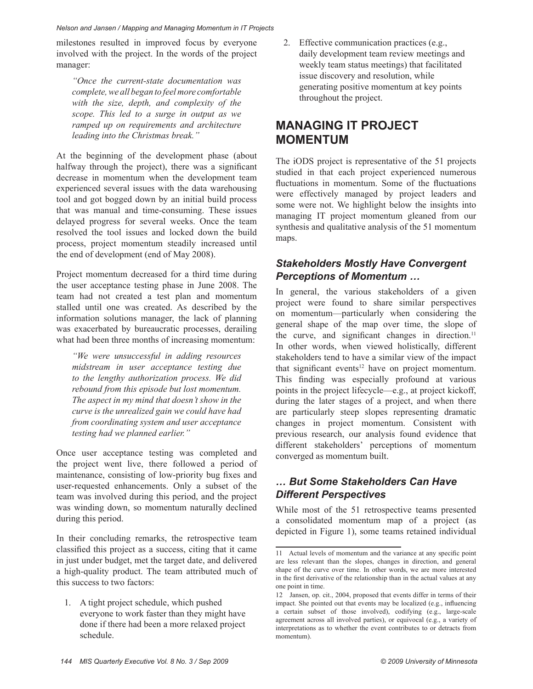milestones resulted in improved focus by everyone involved with the project. In the words of the project manager:

*"Once the current-state documentation was complete, we all began to feel more comfortable with the size, depth, and complexity of the scope. This led to a surge in output as we ramped up on requirements and architecture leading into the Christmas break."*

At the beginning of the development phase (about halfway through the project), there was a significant decrease in momentum when the development team experienced several issues with the data warehousing tool and got bogged down by an initial build process that was manual and time-consuming. These issues delayed progress for several weeks. Once the team resolved the tool issues and locked down the build process, project momentum steadily increased until the end of development (end of May 2008).

Project momentum decreased for a third time during the user acceptance testing phase in June 2008. The team had not created a test plan and momentum stalled until one was created. As described by the information solutions manager, the lack of planning was exacerbated by bureaucratic processes, derailing what had been three months of increasing momentum:

*"We were unsuccessful in adding resources midstream in user acceptance testing due to the lengthy authorization process. We did rebound from this episode but lost momentum. The aspect in my mind that doesn't show in the curve is the unrealized gain we could have had from coordinating system and user acceptance testing had we planned earlier."*

Once user acceptance testing was completed and the project went live, there followed a period of maintenance, consisting of low-priority bug fixes and user-requested enhancements. Only a subset of the team was involved during this period, and the project was winding down, so momentum naturally declined during this period.

In their concluding remarks, the retrospective team classified this project as a success, citing that it came in just under budget, met the target date, and delivered a high-quality product. The team attributed much of this success to two factors:

1. A tight project schedule, which pushed everyone to work faster than they might have done if there had been a more relaxed project schedule.

2. Effective communication practices (e.g., daily development team review meetings and weekly team status meetings) that facilitated issue discovery and resolution, while generating positive momentum at key points throughout the project.

# **MANAGING IT PROJECT MOMENTUM**

The iODS project is representative of the 51 projects studied in that each project experienced numerous fluctuations in momentum. Some of the fluctuations were effectively managed by project leaders and some were not. We highlight below the insights into managing IT project momentum gleaned from our synthesis and qualitative analysis of the 51 momentum maps.

#### *Stakeholders Mostly Have Convergent Perceptions of Momentum …*

In general, the various stakeholders of a given project were found to share similar perspectives on momentum—particularly when considering the general shape of the map over time, the slope of the curve, and significant changes in direction.<sup>11</sup> In other words, when viewed holistically, different stakeholders tend to have a similar view of the impact that significant events $12$  have on project momentum. This finding was especially profound at various points in the project lifecycle—e.g., at project kickoff, during the later stages of a project, and when there are particularly steep slopes representing dramatic changes in project momentum. Consistent with previous research, our analysis found evidence that different stakeholders' perceptions of momentum converged as momentum built.

### *… But Some Stakeholders Can Have Different Perspectives*

While most of the 51 retrospective teams presented a consolidated momentum map of a project (as depicted in Figure 1), some teams retained individual

<sup>11</sup> Actual levels of momentum and the variance at any specific point are less relevant than the slopes, changes in direction, and general shape of the curve over time. In other words, we are more interested in the first derivative of the relationship than in the actual values at any one point in time.

<sup>12</sup> Jansen, op. cit., 2004, proposed that events differ in terms of their impact. She pointed out that events may be localized (e.g., influencing a certain subset of those involved), codifying (e.g., large-scale agreement across all involved parties), or equivocal (e.g., a variety of interpretations as to whether the event contributes to or detracts from momentum).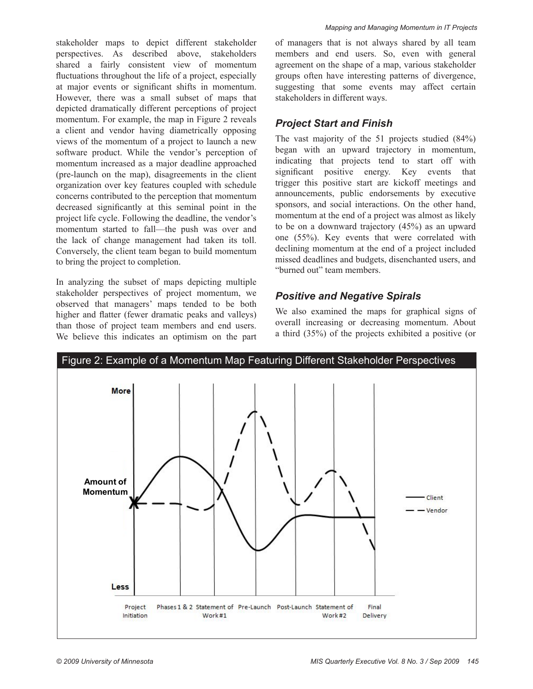stakeholder maps to depict different stakeholder perspectives. As described above, stakeholders shared a fairly consistent view of momentum fluctuations throughout the life of a project, especially at major events or significant shifts in momentum. However, there was a small subset of maps that depicted dramatically different perceptions of project momentum. For example, the map in Figure 2 reveals a client and vendor having diametrically opposing views of the momentum of a project to launch a new software product. While the vendor's perception of momentum increased as a major deadline approached (pre-launch on the map), disagreements in the client organization over key features coupled with schedule concerns contributed to the perception that momentum decreased significantly at this seminal point in the project life cycle. Following the deadline, the vendor's momentum started to fall—the push was over and the lack of change management had taken its toll. Conversely, the client team began to build momentum to bring the project to completion.

In analyzing the subset of maps depicting multiple stakeholder perspectives of project momentum, we observed that managers' maps tended to be both higher and flatter (fewer dramatic peaks and valleys) than those of project team members and end users. We believe this indicates an optimism on the part of managers that is not always shared by all team members and end users. So, even with general agreement on the shape of a map, various stakeholder groups often have interesting patterns of divergence, suggesting that some events may affect certain stakeholders in different ways.

#### *Project Start and Finish*

The vast majority of the 51 projects studied (84%) began with an upward trajectory in momentum, indicating that projects tend to start off with significant positive energy. Key events that trigger this positive start are kickoff meetings and announcements, public endorsements by executive sponsors, and social interactions. On the other hand, momentum at the end of a project was almost as likely to be on a downward trajectory (45%) as an upward one (55%). Key events that were correlated with declining momentum at the end of a project included missed deadlines and budgets, disenchanted users, and "burned out" team members.

### *Positive and Negative Spirals*

We also examined the maps for graphical signs of overall increasing or decreasing momentum. About a third (35%) of the projects exhibited a positive (or

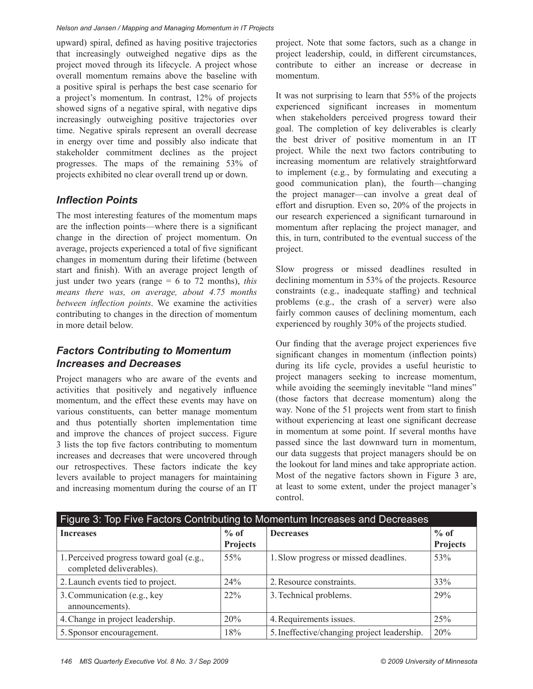upward) spiral, defined as having positive trajectories that increasingly outweighed negative dips as the project moved through its lifecycle. A project whose overall momentum remains above the baseline with a positive spiral is perhaps the best case scenario for a project's momentum. In contrast, 12% of projects showed signs of a negative spiral, with negative dips increasingly outweighing positive trajectories over time. Negative spirals represent an overall decrease in energy over time and possibly also indicate that stakeholder commitment declines as the project progresses. The maps of the remaining 53% of projects exhibited no clear overall trend up or down.

### *Inflection Points*

The most interesting features of the momentum maps are the inflection points—where there is a significant change in the direction of project momentum. On average, projects experienced a total of five significant changes in momentum during their lifetime (between start and finish). With an average project length of just under two years (range = 6 to 72 months), *this means there was, on average, about 4.75 months between inflection points*. We examine the activities contributing to changes in the direction of momentum in more detail below.

### *Factors Contributing to Momentum Increases and Decreases*

Project managers who are aware of the events and activities that positively and negatively influence momentum, and the effect these events may have on various constituents, can better manage momentum and thus potentially shorten implementation time and improve the chances of project success. Figure 3 lists the top five factors contributing to momentum increases and decreases that were uncovered through our retrospectives. These factors indicate the key levers available to project managers for maintaining and increasing momentum during the course of an IT project. Note that some factors, such as a change in project leadership, could, in different circumstances, contribute to either an increase or decrease in momentum.

It was not surprising to learn that 55% of the projects experienced significant increases in momentum when stakeholders perceived progress toward their goal. The completion of key deliverables is clearly the best driver of positive momentum in an IT project. While the next two factors contributing to increasing momentum are relatively straightforward to implement (e.g., by formulating and executing a good communication plan), the fourth—changing the project manager—can involve a great deal of effort and disruption. Even so, 20% of the projects in our research experienced a significant turnaround in momentum after replacing the project manager, and this, in turn, contributed to the eventual success of the project.

Slow progress or missed deadlines resulted in declining momentum in 53% of the projects. Resource constraints (e.g., inadequate staffing) and technical problems (e.g., the crash of a server) were also fairly common causes of declining momentum, each experienced by roughly 30% of the projects studied.

Our finding that the average project experiences five significant changes in momentum (inflection points) during its life cycle, provides a useful heuristic to project managers seeking to increase momentum, while avoiding the seemingly inevitable "land mines" (those factors that decrease momentum) along the way. None of the 51 projects went from start to finish without experiencing at least one significant decrease in momentum at some point. If several months have passed since the last downward turn in momentum, our data suggests that project managers should be on the lookout for land mines and take appropriate action. Most of the negative factors shown in Figure 3 are, at least to some extent, under the project manager's control.

| Figure 3: Top Five Factors Contributing to Momentum Increases and Decreases |                 |                                             |          |  |
|-----------------------------------------------------------------------------|-----------------|---------------------------------------------|----------|--|
| <b>Increases</b>                                                            | $%$ of          | <b>Decreases</b>                            | $%$ of   |  |
|                                                                             | <b>Projects</b> |                                             | Projects |  |
| 1. Perceived progress toward goal (e.g.,<br>completed deliverables).        | 55%             | 1. Slow progress or missed deadlines.       | 53%      |  |
| 2. Launch events tied to project.                                           | 24%             | 2. Resource constraints.                    | 33%      |  |
| 3. Communication (e.g., key<br>announcements).                              | $22\%$          | 3. Technical problems.                      | 29%      |  |
| 4. Change in project leadership.                                            | 20%             | 4. Requirements issues.                     | 25%      |  |
| 5. Sponsor encouragement.                                                   | 18%             | 5. Ineffective/changing project leadership. | 20%      |  |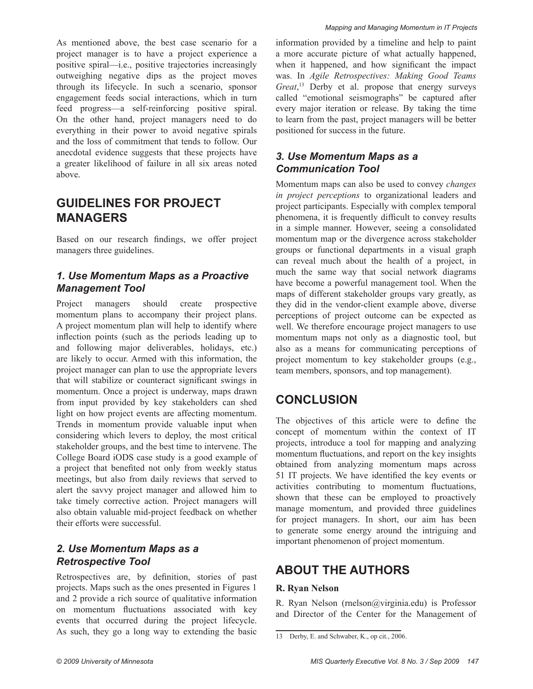As mentioned above, the best case scenario for a project manager is to have a project experience a positive spiral—i.e., positive trajectories increasingly outweighing negative dips as the project moves through its lifecycle. In such a scenario, sponsor engagement feeds social interactions, which in turn feed progress—a self-reinforcing positive spiral. On the other hand, project managers need to do everything in their power to avoid negative spirals and the loss of commitment that tends to follow. Our anecdotal evidence suggests that these projects have a greater likelihood of failure in all six areas noted above.

### **GUIDELINES FOR PROJECT MANAGERS**

Based on our research findings, we offer project managers three guidelines.

#### *1. Use Momentum Maps as a Proactive Management Tool*

Project managers should create prospective momentum plans to accompany their project plans. A project momentum plan will help to identify where inflection points (such as the periods leading up to and following major deliverables, holidays, etc.) are likely to occur. Armed with this information, the project manager can plan to use the appropriate levers that will stabilize or counteract significant swings in momentum. Once a project is underway, maps drawn from input provided by key stakeholders can shed light on how project events are affecting momentum. Trends in momentum provide valuable input when considering which levers to deploy, the most critical stakeholder groups, and the best time to intervene. The College Board iODS case study is a good example of a project that benefited not only from weekly status meetings, but also from daily reviews that served to alert the savvy project manager and allowed him to take timely corrective action. Project managers will also obtain valuable mid-project feedback on whether their efforts were successful.

#### *2. Use Momentum Maps as a Retrospective Tool*

Retrospectives are, by definition, stories of past projects. Maps such as the ones presented in Figures 1 and 2 provide a rich source of qualitative information on momentum fluctuations associated with key events that occurred during the project lifecycle. As such, they go a long way to extending the basic

information provided by a timeline and help to paint a more accurate picture of what actually happened, when it happened, and how significant the impact was. In *Agile Retrospectives: Making Good Teams Great*, 13 Derby et al. propose that energy surveys called "emotional seismographs" be captured after every major iteration or release. By taking the time to learn from the past, project managers will be better positioned for success in the future.

### *3. Use Momentum Maps as a Communication Tool*

Momentum maps can also be used to convey *changes in project perceptions* to organizational leaders and project participants. Especially with complex temporal phenomena, it is frequently difficult to convey results in a simple manner. However, seeing a consolidated momentum map or the divergence across stakeholder groups or functional departments in a visual graph can reveal much about the health of a project, in much the same way that social network diagrams have become a powerful management tool. When the maps of different stakeholder groups vary greatly, as they did in the vendor-client example above, diverse perceptions of project outcome can be expected as well. We therefore encourage project managers to use momentum maps not only as a diagnostic tool, but also as a means for communicating perceptions of project momentum to key stakeholder groups (e.g., team members, sponsors, and top management).

### **CONCLUSION**

The objectives of this article were to define the concept of momentum within the context of IT projects, introduce a tool for mapping and analyzing momentum fluctuations, and report on the key insights obtained from analyzing momentum maps across 51 IT projects. We have identified the key events or activities contributing to momentum fluctuations, shown that these can be employed to proactively manage momentum, and provided three guidelines for project managers. In short, our aim has been to generate some energy around the intriguing and important phenomenon of project momentum.

### **ABOUT THE AUTHORS**

#### **R. Ryan Nelson**

R. Ryan Nelson (rnelson@virginia.edu) is Professor and Director of the Center for the Management of

<sup>13</sup> Derby, E. and Schwaber, K., op cit., 2006.